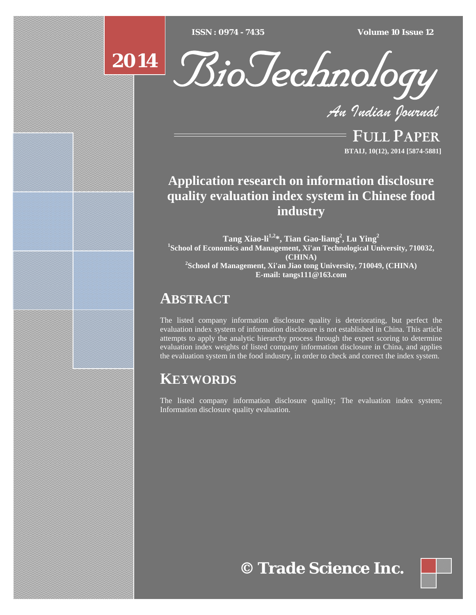[Type text] [Type text] [Type text] *ISSN : 0974 - 7435 Volume 10 Issue 12*



*An Indian Journal*

FULL PAPER **BTAIJ, 10(12), 2014 [5874-5881]**

# **Application research on information disclosure quality evaluation index system in Chinese food industry**

**Tang Xiao-li1,2\*, Tian Gao-liang2 , Lu Ying<sup>2</sup>** <sup>1</sup>School of Economics and Management, Xi'an Technological University, 710032, **(CHINA) 2 School of Management, Xi'an Jiao tong University, 710049, (CHINA) E-mail: tangs111@163.com** 

# **ABSTRACT**

The listed company information disclosure quality is deteriorating, but perfect the evaluation index system of information disclosure is not established in China. This article attempts to apply the analytic hierarchy process through the expert scoring to determine evaluation index weights of listed company information disclosure in China, and applies the evaluation system in the food industry, in order to check and correct the index system.

# **KEYWORDS**

The listed company information disclosure quality; The evaluation index system; Information disclosure quality evaluation.

**© Trade Science Inc.**

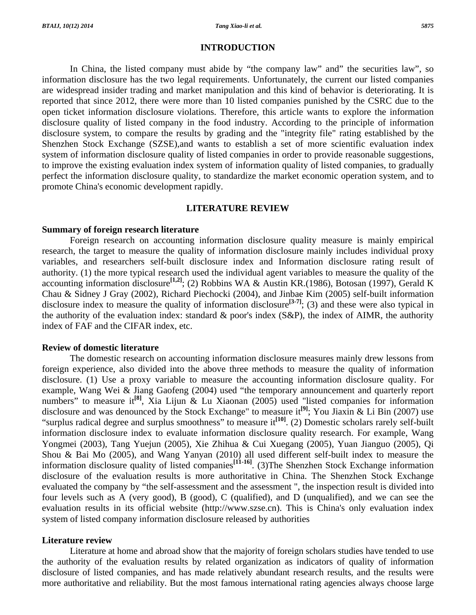In China, the listed company must abide by "the company law" and" the securities law", so information disclosure has the two legal requirements. Unfortunately, the current our listed companies are widespread insider trading and market manipulation and this kind of behavior is deteriorating. It is reported that since 2012, there were more than 10 listed companies punished by the CSRC due to the open ticket information disclosure violations. Therefore, this article wants to explore the information disclosure quality of listed company in the food industry. According to the principle of information disclosure system, to compare the results by grading and the "integrity file" rating established by the Shenzhen Stock Exchange (SZSE),and wants to establish a set of more scientific evaluation index system of information disclosure quality of listed companies in order to provide reasonable suggestions, to improve the existing evaluation index system of information quality of listed companies, to gradually perfect the information disclosure quality, to standardize the market economic operation system, and to promote China's economic development rapidly.

#### **LITERATURE REVIEW**

### **Summary of foreign research literature**

 Foreign research on accounting information disclosure quality measure is mainly empirical research, the target to measure the quality of information disclosure mainly includes individual proxy variables, and researchers self-built disclosure index and Information disclosure rating result of authority. (1) the more typical research used the individual agent variables to measure the quality of the accounting information disclosure**[1,2]**; (2) Robbins WA & Austin KR.(1986), Botosan (1997), Gerald K Chau & Sidney J Gray (2002), Richard Piechocki (2004), and Jinbae Kim (2005) self-built information disclosure index to measure the quality of information disclosure**[3-7]**; (3) and these were also typical in the authority of the evaluation index: standard  $\&$  poor's index (S&P), the index of AIMR, the authority index of FAF and the CIFAR index, etc.

## **Review of domestic literature**

 The domestic research on accounting information disclosure measures mainly drew lessons from foreign experience, also divided into the above three methods to measure the quality of information disclosure. (1) Use a proxy variable to measure the accounting information disclosure quality. For example, Wang Wei & Jiang Gaofeng (2004) used "the temporary announcement and quarterly report numbers" to measure it<sup>[8]</sup>, Xia Lijun & Lu Xiaonan (2005) used "listed companies for information disclosure and was denounced by the Stock Exchange" to measure it**[9]**; You Jiaxin & Li Bin (2007) use "surplus radical degree and surplus smoothness" to measure it<sup>[10]</sup>. (2) Domestic scholars rarely self-built information disclosure index to evaluate information disclosure quality research. For example, Wang Yongmei (2003), Tang Yuejun (2005), Xie Zhihua & Cui Xuegang (2005), Yuan Jianguo (2005), Qi Shou & Bai Mo (2005), and Wang Yanyan (2010) all used different self-built index to measure the information disclosure quality of listed companies**[11-16]**. (3)The Shenzhen Stock Exchange information disclosure of the evaluation results is more authoritative in China. The Shenzhen Stock Exchange evaluated the company by "the self-assessment and the assessment ", the inspection result is divided into four levels such as A (very good), B (good), C (qualified), and D (unqualified), and we can see the evaluation results in its official website (http://www.szse.cn). This is China's only evaluation index system of listed company information disclosure released by authorities

#### **Literature review**

 Literature at home and abroad show that the majority of foreign scholars studies have tended to use the authority of the evaluation results by related organization as indicators of quality of information disclosure of listed companies, and has made relatively abundant research results, and the results were more authoritative and reliability. But the most famous international rating agencies always choose large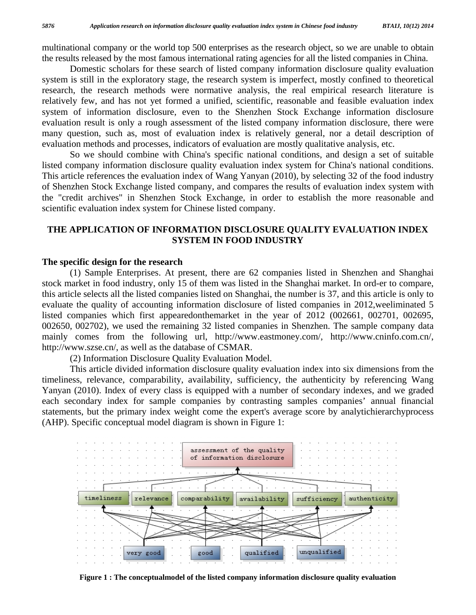multinational company or the world top 500 enterprises as the research object, so we are unable to obtain the results released by the most famous international rating agencies for all the listed companies in China.

 Domestic scholars for these search of listed company information disclosure quality evaluation system is still in the exploratory stage, the research system is imperfect, mostly confined to theoretical research, the research methods were normative analysis, the real empirical research literature is relatively few, and has not yet formed a unified, scientific, reasonable and feasible evaluation index system of information disclosure, even to the Shenzhen Stock Exchange information disclosure evaluation result is only a rough assessment of the listed company information disclosure, there were many question, such as, most of evaluation index is relatively general, nor a detail description of evaluation methods and processes, indicators of evaluation are mostly qualitative analysis, etc.

 So we should combine with China's specific national conditions, and design a set of suitable listed company information disclosure quality evaluation index system for China's national conditions. This article references the evaluation index of Wang Yanyan (2010), by selecting 32 of the food industry of Shenzhen Stock Exchange listed company, and compares the results of evaluation index system with the "credit archives" in Shenzhen Stock Exchange, in order to establish the more reasonable and scientific evaluation index system for Chinese listed company.

# **THE APPLICATION OF INFORMATION DISCLOSURE QUALITY EVALUATION INDEX SYSTEM IN FOOD INDUSTRY**

#### **The specific design for the research**

 (1) Sample Enterprises. At present, there are 62 companies listed in Shenzhen and Shanghai stock market in food industry, only 15 of them was listed in the Shanghai market. In ord-er to compare, this article selects all the listed companies listed on Shanghai, the number is 37, and this article is only to evaluate the quality of accounting information disclosure of listed companies in 2012,weeliminated 5 listed companies which first appearedonthemarket in the year of 2012 (002661, 002701, 002695, 002650, 002702), we used the remaining 32 listed companies in Shenzhen. The sample company data mainly comes from the following url, http://www.eastmoney.com/, http://www.cninfo.com.cn/, http://www.szse.cn/, as well as the database of CSMAR.

(2) Information Disclosure Quality Evaluation Model.

 This article divided information disclosure quality evaluation index into six dimensions from the timeliness, relevance, comparability, availability, sufficiency, the authenticity by referencing Wang Yanyan (2010). Index of every class is equipped with a number of secondary indexes, and we graded each secondary index for sample companies by contrasting samples companies' annual financial statements, but the primary index weight come the expert's average score by analytichierarchyprocess (AHP). Specific conceptual model diagram is shown in Figure 1:



**Figure 1 : The conceptualmodel of the listed company information disclosure quality evaluation**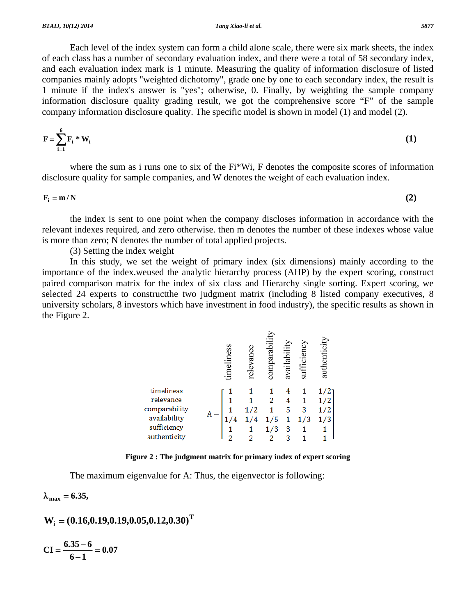Each level of the index system can form a child alone scale, there were six mark sheets, the index of each class has a number of secondary evaluation index, and there were a total of 58 secondary index, and each evaluation index mark is 1 minute. Measuring the quality of information disclosure of listed companies mainly adopts "weighted dichotomy", grade one by one to each secondary index, the result is 1 minute if the index's answer is "yes"; otherwise, 0. Finally, by weighting the sample company information disclosure quality grading result, we got the comprehensive score "F" of the sample company information disclosure quality. The specific model is shown in model (1) and model (2).

$$
\mathbf{F} = \sum_{i=1}^{6} \mathbf{F}_i \cdot \mathbf{W}_i \tag{1}
$$

where the sum as i runs one to six of the Fi\*Wi, F denotes the composite scores of information disclosure quality for sample companies, and W denotes the weight of each evaluation index.

 $\mathbf{F}_i = \mathbf{m}/N$  (2)

 the index is sent to one point when the company discloses information in accordance with the relevant indexes required, and zero otherwise. then m denotes the number of these indexes whose value is more than zero; N denotes the number of total applied projects.

(3) Setting the index weight

 In this study, we set the weight of primary index (six dimensions) mainly according to the importance of the index.weused the analytic hierarchy process (AHP) by the expert scoring, construct paired comparison matrix for the index of six class and Hierarchy single sorting. Expert scoring, we selected 24 experts to constructthe two judgment matrix (including 8 listed company executives, 8 university scholars, 8 investors which have investment in food industry), the specific results as shown in the Figure 2.

|               |       | timeliness | relevan | comparabili | availabilit | sufficiency | authenticit |  |
|---------------|-------|------------|---------|-------------|-------------|-------------|-------------|--|
| timeliness    |       |            |         |             |             |             |             |  |
| relevance     |       |            |         |             |             |             |             |  |
| comparability | $A =$ |            | 1/2     |             | 5           | 3           |             |  |
| availability  |       |            | 1/4     | 1/5         |             | 1/3         |             |  |
| sufficiency   |       |            |         |             | 3           |             |             |  |
| authenticity  |       |            |         |             |             |             |             |  |

**Figure 2 : The judgment matrix for primary index of expert scoring** 

The maximum eigenvalue for A: Thus, the eigenvector is following:

 $\lambda_{\text{max}} = 6.35$ ,

$$
W_i=(0.16,\!0.19,\!0.19,\!0.05,\!0.12,\!0.30)^T
$$

$$
CI = \frac{6.35 - 6}{6 - 1} = 0.07
$$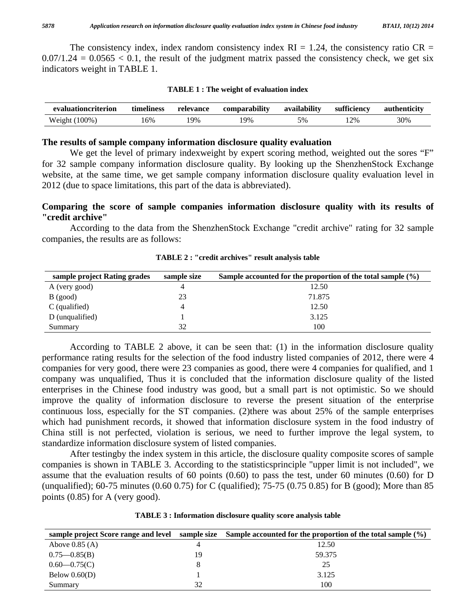The consistency index, index random consistency index  $RI = 1.24$ , the consistency ratio  $CR =$  $0.07/1.24 = 0.0565 < 0.1$ , the result of the judgment matrix passed the consistency check, we get six indicators weight in TABLE 1.

|  |  |  |  |  |  |  | <b>TABLE 1: The weight of evaluation index</b> |  |  |  |  |
|--|--|--|--|--|--|--|------------------------------------------------|--|--|--|--|
|--|--|--|--|--|--|--|------------------------------------------------|--|--|--|--|

| evaluationcriterion   | timeliness | relevance | comparability | availability | sufficiency | authenticity |
|-----------------------|------------|-----------|---------------|--------------|-------------|--------------|
| $100\%$ .<br>Weight ( | .6%        | $9\%$     | $9\%$         | 5%           | 12%         | 30%          |

#### **The results of sample company information disclosure quality evaluation**

We get the level of primary indexweight by expert scoring method, weighted out the sores "F" for 32 sample company information disclosure quality. By looking up the ShenzhenStock Exchange website, at the same time, we get sample company information disclosure quality evaluation level in 2012 (due to space limitations, this part of the data is abbreviated).

# **Comparing the score of sample companies information disclosure quality with its results of "credit archive"**

 According to the data from the ShenzhenStock Exchange "credit archive" rating for 32 sample companies, the results are as follows:

| sample project Rating grades | sample size | Sample accounted for the proportion of the total sample $(\% )$ |
|------------------------------|-------------|-----------------------------------------------------------------|
| A (very good)                | 4           | 12.50                                                           |
| $B$ (good)                   | 23          | 71.875                                                          |
| $C$ (qualified)              | 4           | 12.50                                                           |
| D (unqualified)              |             | 3.125                                                           |
| Summary                      | 32          | 100                                                             |

**TABLE 2 : "credit archives" result analysis table** 

 According to TABLE 2 above, it can be seen that: (1) in the information disclosure quality performance rating results for the selection of the food industry listed companies of 2012, there were 4 companies for very good, there were 23 companies as good, there were 4 companies for qualified, and 1 company was unqualified, Thus it is concluded that the information disclosure quality of the listed enterprises in the Chinese food industry was good, but a small part is not optimistic. So we should improve the quality of information disclosure to reverse the present situation of the enterprise continuous loss, especially for the ST companies. (2)there was about 25% of the sample enterprises which had punishment records, it showed that information disclosure system in the food industry of China still is not perfected, violation is serious, we need to further improve the legal system, to standardize information disclosure system of listed companies.

 After testingby the index system in this article, the disclosure quality composite scores of sample companies is shown in TABLE 3. According to the statisticsprinciple "upper limit is not included", we assume that the evaluation results of 60 points (0.60) to pass the test, under 60 minutes (0.60) for D (unqualified); 60-75 minutes (0.60 0.75) for C (qualified); 75-75 (0.75 0.85) for B (good); More than 85 points (0.85) for A (very good).

|                   |    | sample project Score range and level sample size Sample accounted for the proportion of the total sample $(\%)$ |
|-------------------|----|-----------------------------------------------------------------------------------------------------------------|
| Above $0.85(A)$   |    | 12.50                                                                                                           |
| $0.75 - 0.85$ (B) | 19 | 59.375                                                                                                          |
| $0.60 - 0.75(C)$  |    | 25                                                                                                              |
| Below $0.60(D)$   |    | 3.125                                                                                                           |
| Summary           | 32 | 100                                                                                                             |

**TABLE 3 : Information disclosure quality score analysis table**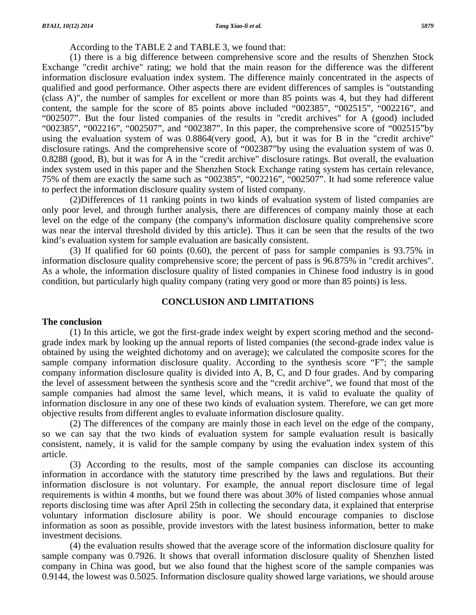According to the TABLE 2 and TABLE 3, we found that:

 (1) there is a big difference between comprehensive score and the results of Shenzhen Stock Exchange "credit archive" rating; we hold that the main reason for the difference was the different information disclosure evaluation index system. The difference mainly concentrated in the aspects of qualified and good performance. Other aspects there are evident differences of samples is "outstanding (class A)", the number of samples for excellent or more than 85 points was 4, but they had different content, the sample for the score of 85 points above included "002385", "002515", "002216", and "002507". But the four listed companies of the results in "credit archives" for A (good) included "002385", "002216", "002507", and "002387". In this paper, the comprehensive score of "002515"by using the evaluation system of was 0.8864(very good, A), but it was for B in the "credit archive" disclosure ratings. And the comprehensive score of "002387"by using the evaluation system of was 0. 0.8288 (good, B), but it was for A in the "credit archive" disclosure ratings. But overall, the evaluation index system used in this paper and the Shenzhen Stock Exchange rating system has certain relevance, 75% of them are exactly the same such as "002385", "002216", "002507". It had some reference value to perfect the information disclosure quality system of listed company.

 (2)Differences of 11 ranking points in two kinds of evaluation system of listed companies are only poor level, and through further analysis, there are differences of company mainly those at each level on the edge of the company (the company's information disclosure quality comprehensive score was near the interval threshold divided by this article). Thus it can be seen that the results of the two kind's evaluation system for sample evaluation are basically consistent.

 (3) If qualified for 60 points (0.60), the percent of pass for sample companies is 93.75% in information disclosure quality comprehensive score; the percent of pass is 96.875% in "credit archives". As a whole, the information disclosure quality of listed companies in Chinese food industry is in good condition, but particularly high quality company (rating very good or more than 85 points) is less.

## **CONCLUSION AND LIMITATIONS**

#### **The conclusion**

 (1) In this article, we got the first-grade index weight by expert scoring method and the secondgrade index mark by looking up the annual reports of listed companies (the second-grade index value is obtained by using the weighted dichotomy and on average); we calculated the composite scores for the sample company information disclosure quality. According to the synthesis score "F"; the sample company information disclosure quality is divided into A, B, C, and D four grades. And by comparing the level of assessment between the synthesis score and the "credit archive", we found that most of the sample companies had almost the same level, which means, it is valid to evaluate the quality of information disclosure in any one of these two kinds of evaluation system. Therefore, we can get more objective results from different angles to evaluate information disclosure quality.

 (2) The differences of the company are mainly those in each level on the edge of the company, so we can say that the two kinds of evaluation system for sample evaluation result is basically consistent, namely, it is valid for the sample company by using the evaluation index system of this article.

 (3) According to the results, most of the sample companies can disclose its accounting information in accordance with the statutory time prescribed by the laws and regulations. But their information disclosure is not voluntary. For example, the annual report disclosure time of legal requirements is within 4 months, but we found there was about 30% of listed companies whose annual reports disclosing time was after April 25th in collecting the secondary data, it explained that enterprise voluntary information disclosure ability is poor. We should encourage companies to disclose information as soon as possible, provide investors with the latest business information, better to make investment decisions.

 (4) the evaluation results showed that the average score of the information disclosure quality for sample company was 0.7926. It shows that overall information disclosure quality of Shenzhen listed company in China was good, but we also found that the highest score of the sample companies was 0.9144, the lowest was 0.5025. Information disclosure quality showed large variations, we should arouse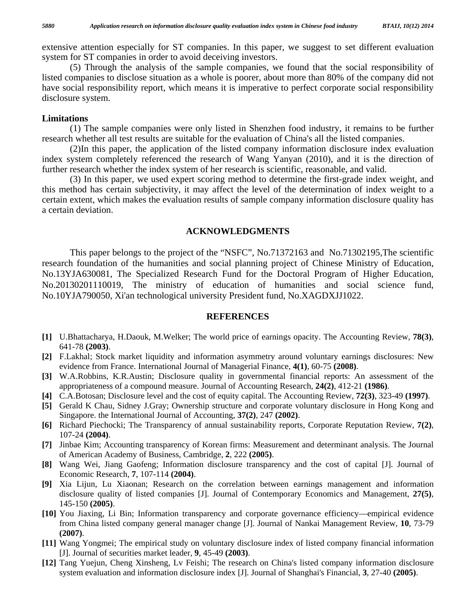extensive attention especially for ST companies. In this paper, we suggest to set different evaluation system for ST companies in order to avoid deceiving investors.

 (5) Through the analysis of the sample companies, we found that the social responsibility of listed companies to disclose situation as a whole is poorer, about more than 80% of the company did not have social responsibility report, which means it is imperative to perfect corporate social responsibility disclosure system.

#### **Limitations**

 (1) The sample companies were only listed in Shenzhen food industry, it remains to be further research whether all test results are suitable for the evaluation of China's all the listed companies.

 (2)In this paper, the application of the listed company information disclosure index evaluation index system completely referenced the research of Wang Yanyan (2010), and it is the direction of further research whether the index system of her research is scientific, reasonable, and valid.

 (3) In this paper, we used expert scoring method to determine the first-grade index weight, and this method has certain subjectivity, it may affect the level of the determination of index weight to a certain extent, which makes the evaluation results of sample company information disclosure quality has a certain deviation.

# **ACKNOWLEDGMENTS**

 This paper belongs to the project of the "NSFC", No.71372163 and No.71302195,The scientific research foundation of the humanities and social planning project of Chinese Ministry of Education, No.13YJA630081, The Specialized Research Fund for the Doctoral Program of Higher Education, No.20130201110019, The ministry of education of humanities and social science fund, No.10YJA790050, Xi'an technological university President fund, No.XAGDXJJ1022.

#### **REFERENCES**

- **[1]** U.Bhattacharya, H.Daouk, M.Welker; The world price of earnings opacity. The Accounting Review, **78(3)**, 641-78 **(2003)**.
- **[2]** F.Lakhal; Stock market liquidity and information asymmetry around voluntary earnings disclosures: New evidence from France. International Journal of Managerial Finance, **4(1)**, 60-75 **(2008)**.
- **[3]** W.A.Robbins, K.R.Austin; Disclosure quality in governmental financial reports: An assessment of the appropriateness of a compound measure. Journal of Accounting Research, **24(2)**, 412-21 **(1986)**.
- **[4]** C.A.Botosan; Disclosure level and the cost of equity capital. The Accounting Review, **72(3)**, 323-49 **(1997)**.
- **[5]** Gerald K Chau, Sidney J.Gray; Ownership structure and corporate voluntary disclosure in Hong Kong and Singapore. the International Journal of Accounting, **37(2)**, 247 **(2002)**.
- **[6]** Richard Piechocki; The Transparency of annual sustainability reports, Corporate Reputation Review, **7(2)**, 107-24 **(2004)**.
- **[7]** Jinbae Kim; Accounting transparency of Korean firms: Measurement and determinant analysis. The Journal of American Academy of Business, Cambridge, **2**, 222 **(2005)**.
- **[8]** Wang Wei, Jiang Gaofeng; Information disclosure transparency and the cost of capital [J]. Journal of Economic Research, **7**, 107-114 **(2004)**.
- **[9]** Xia Lijun, Lu Xiaonan; Research on the correlation between earnings management and information disclosure quality of listed companies [J]. Journal of Contemporary Economics and Management, **27(5)**, 145-150 **(2005)**.
- **[10]** You Jiaxing, Li Bin; Information transparency and corporate governance efficiency—empirical evidence from China listed company general manager change [J]. Journal of Nankai Management Review, **10**, 73-79 **(2007)**.
- **[11]** Wang Yongmei; The empirical study on voluntary disclosure index of listed company financial information [J]. Journal of securities market leader, **9**, 45-49 **(2003)**.
- **[12]** Tang Yuejun, Cheng Xinsheng, Lv Feishi; The research on China's listed company information disclosure system evaluation and information disclosure index [J]. Journal of Shanghai's Financial, **3**, 27-40 **(2005)**.